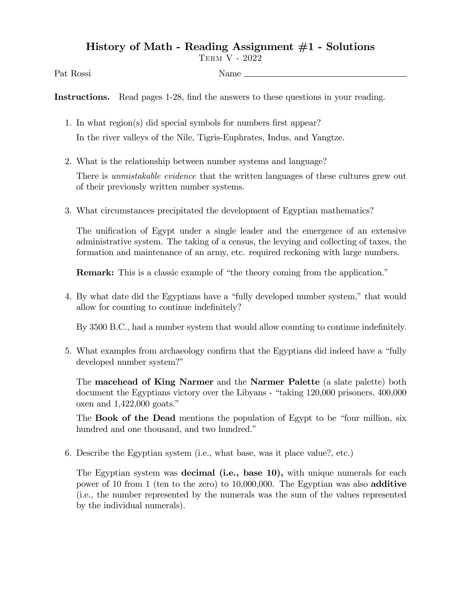## History of Math - Reading Assignment #1 - Solutions

Term V - 2022

Pat Rossi Name

Instructions. Read pages 1-28, find the answers to these questions in your reading.

- 1. In what region(s) did special symbols for numbers first appear? In the river valleys of the Nile, Tigris-Euphrates, Indus, and Yangtze.
- 2. What is the relationship between number systems and language?

There is *unmistakable evidence* that the written languages of these cultures grew out of their previously written number systems.

3. What circumstances precipitated the development of Egyptian mathematics?

The unification of Egypt under a single leader and the emergence of an extensive administrative system. The taking of a census, the levying and collecting of taxes, the formation and maintenance of an army, etc. required reckoning with large numbers.

**Remark:** This is a classic example of "the theory coming from the application."

4. By what date did the Egyptians have a "fully developed number system," that would allow for counting to continue indefinitely?

By 3500 B.C., had a number system that would allow counting to continue indefinitely.

5. What examples from archaeology confirm that the Egyptians did indeed have a "fully developed number system?"

The macehead of King Narmer and the Narmer Palette (a slate palette) both document the Egyptians victory over the Libyans - "taking 120,000 prisoners, 400,000 oxen and  $1,422,000$  goats."

The **Book of the Dead** mentions the population of Egypt to be "four million, six hundred and one thousand, and two hundred."

6. Describe the Egyptian system (i.e., what base, was it place value?, etc.)

The Egyptian system was **decimal (i.e., base 10)**, with unique numerals for each power of 10 from 1 (ten to the zero) to 10,000,000. The Egyptian was also additive (i.e., the number represented by the numerals was the sum of the values represented by the individual numerals).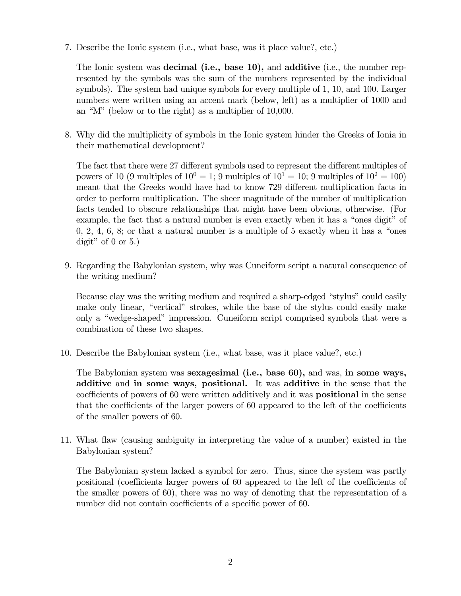7. Describe the Ionic system (i.e., what base, was it place value?, etc.)

The Ionic system was **decimal (i.e., base 10),** and **additive** (i.e., the number represented by the symbols was the sum of the numbers represented by the individual symbols). The system had unique symbols for every multiple of 1, 10, and 100. Larger numbers were written using an accent mark (below, left) as a multiplier of 1000 and an "M" (below or to the right) as a multiplier of  $10,000$ .

8. Why did the multiplicity of symbols in the Ionic system hinder the Greeks of Ionia in their mathematical development?

The fact that there were 27 different symbols used to represent the different multiples of powers of 10 (9 multiples of  $10^0 = 1$ ; 9 multiples of  $10^1 = 10$ ; 9 multiples of  $10^2 = 100$ ) meant that the Greeks would have had to know 729 different multiplication facts in order to perform multiplication. The sheer magnitude of the number of multiplication facts tended to obscure relationships that might have been obvious, otherwise. (For example, the fact that a natural number is even exactly when it has a "ones digit" of  $0, 2, 4, 6, 8$ ; or that a natural number is a multiple of 5 exactly when it has a "ones" digit" of  $0$  or  $5.$ )

9. Regarding the Babylonian system, why was Cuneiform script a natural consequence of the writing medium?

Because clay was the writing medium and required a sharp-edged "stylus" could easily make only linear, "vertical" strokes, while the base of the stylus could easily make only a "wedge-shaped" impression. Cuneiform script comprised symbols that were a combination of these two shapes.

10. Describe the Babylonian system (i.e., what base, was it place value?, etc.)

The Babylonian system was sexagesimal (i.e., base 60), and was, in some ways, additive and in some ways, positional. It was additive in the sense that the coefficients of powers of 60 were written additively and it was **positional** in the sense that the coefficients of the larger powers of  $60$  appeared to the left of the coefficients of the smaller powers of 60.

11. What áaw (causing ambiguity in interpreting the value of a number) existed in the Babylonian system?

The Babylonian system lacked a symbol for zero. Thus, since the system was partly positional (coefficients larger powers of 60 appeared to the left of the coefficients of the smaller powers of 60), there was no way of denoting that the representation of a number did not contain coefficients of a specific power of 60.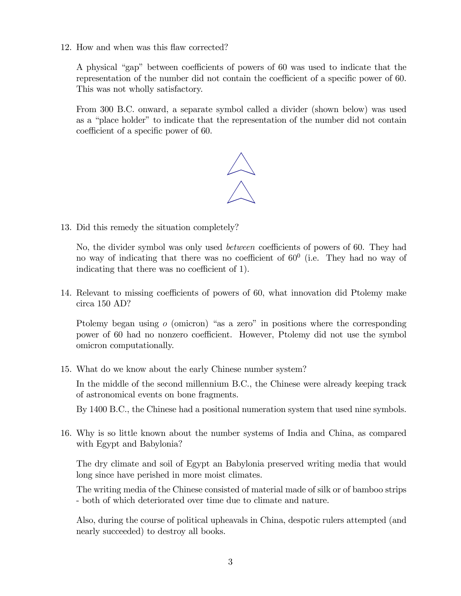12. How and when was this flaw corrected?

A physical "gap" between coefficients of powers of 60 was used to indicate that the representation of the number did not contain the coefficient of a specific power of 60. This was not wholly satisfactory.

From 300 B.C. onward, a separate symbol called a divider (shown below) was used as a "place holder" to indicate that the representation of the number did not contain coefficient of a specific power of 60.



13. Did this remedy the situation completely?

No, the divider symbol was only used *between* coefficients of powers of 60. They had no way of indicating that there was no coefficient of  $60^{\circ}$  (i.e. They had no way of indicating that there was no coefficient of 1).

14. Relevant to missing coefficients of powers of 60, what innovation did Ptolemy make circa 150 AD?

Ptolemy began using  $o$  (omicron) "as a zero" in positions where the corresponding power of 60 had no nonzero coefficient. However, Ptolemy did not use the symbol omicron computationally.

15. What do we know about the early Chinese number system?

In the middle of the second millennium B.C., the Chinese were already keeping track of astronomical events on bone fragments.

By 1400 B.C., the Chinese had a positional numeration system that used nine symbols.

16. Why is so little known about the number systems of India and China, as compared with Egypt and Babylonia?

The dry climate and soil of Egypt an Babylonia preserved writing media that would long since have perished in more moist climates.

The writing media of the Chinese consisted of material made of silk or of bamboo strips - both of which deteriorated over time due to climate and nature.

Also, during the course of political upheavals in China, despotic rulers attempted (and nearly succeeded) to destroy all books.